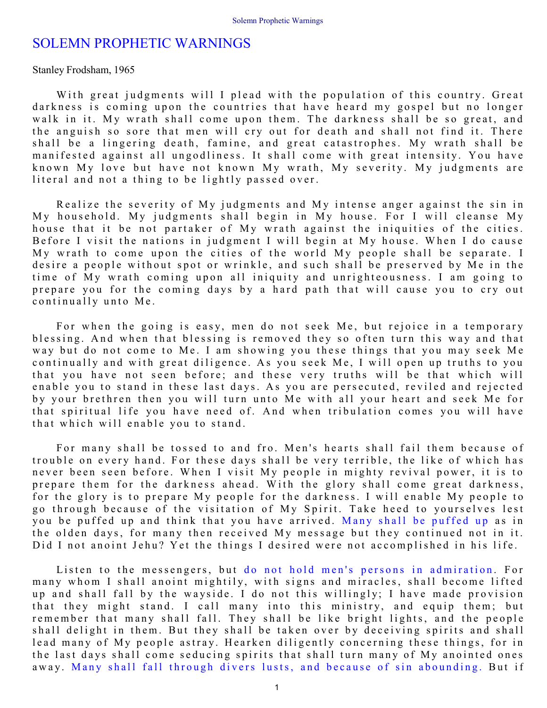## SOLEMN PROPHETIC WARNINGS

Stanley Frodsham, 1965

With great judgments will I plead with the population of this country. Great darkness is coming upon the countries that have heard my gospel but no longer walk in it. My wrath shall come upon them. The darkness shall be so great, and the anguish so sore that men will cry out for death and shall not find it. There shall be a lingering death, famine, and great catastrophes. My wrath shall be manifested against all ungodliness. It shall come with great intensity. You have known My love but have not known My wrath, My severity. My judgments are literal and not a thing to be lightly passed over.

Realize the severity of My judgments and My intense anger against the sin in My household. My judgments shall begin in My house. For I will cleanse My house that it be not partaker of My wrath against the iniquities of the cities. Before I visit the nations in judgment I will begin at My house. When I do cause My wrath to come upon the cities of the world My people shall be separate. I desire a people without spot or wrinkle, and such shall be preserved by Me in the time of My wrath coming upon all iniquity and unrighteousness. I am going to prepare you for the coming days by a hard path that will cause you to cry out continually unto Me.

For when the going is easy, men do not seek Me, but rejoice in a temporary blessing. And when that blessing is removed they so often turn this way and that way but do not come to Me. I am showing you these things that you may seek Me continually and with great diligence. As you seek Me, I will open up truths to you that you have not seen before; and these very truths will be that which will enable you to stand in these last days. As you are persecuted, reviled and rejected by your brethren then you will turn unto Me with all your heart and seek Me for that spiritual life you have need of. And when tribulation comes you will have that which will enable you to stand.

For many shall be tossed to and fro. Men's hearts shall fail them because of trouble on every hand. For these days shall be very terrible, the like of which has never been seen before. When I visit My people in mighty revival power, it is to prepare them for the darkness ahead. With the glory shall come great darkness, for the glory is to prepare My people for the darkness. I will enable My people to go through because of the visitation of My Spirit. Take heed to yourselves lest you be puffed up and think that you have arrived. Many shall be puffed up as in the olden days, for many then received My message but they continued not in it. Did I not ano int Jehu? Yet the things I desired were not accomplished in his life.

Listen to the messengers, but do not hold men's persons in admiration. For many whom I shall anoint mightily, with signs and miracles, shall become lifted up and shall fall by the wayside. I do not this willingly; I have made provision that they might stand. I call many into this ministry, and equip them; but remember that many shall fall. They shall be like bright lights, and the people shall delight in them. But they shall be taken over by deceiving spirits and shall lead many of My people astray. Hearken diligently concerning these things, for in the last days shall come seducing spirits that shall turn many of My anointed ones away. Many shall fall through divers lusts, and because of sin abounding. But if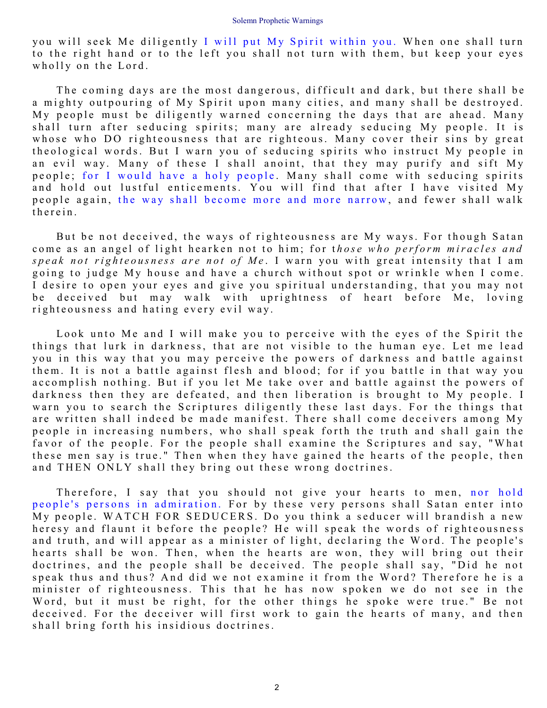you will seek Me diligently I will put My Spirit within you. When one shall turn to the right hand or to the left you shall not turn with them, but keep your eyes wholly on the Lord.

The coming days are the most dangerous, difficult and dark, but there shall be a mighty outpouring of My Spirit upon many cities, and many shall be destroyed. My people must be diligently warned concerning the days that are ahead. Many shall turn after seducing spirits; many are already seducing My people. It is whose who DO righteousness that are righteous. Many cover their sins by great theological words. But I warn you of seducing spirits who instruct My people in an evil way. Many of these I shall anoint, that they may purify and sift My people; for I would have a holy people. Many shall come with seducing spirits and hold out lustful enticements. You will find that after I have visited My people again, the way shall become more and more narrow, and fewer shall walk therein.

But be not deceived, the ways of righteousness are My ways. For though Satan come as an angel of light hearken not to him; for those who perform miracles and speak not righteousness are not of Me. I warn you with great intensity that I am going to judge My house and have a church without spot or wrinkle when I come. I desire to open your eyes and give you spiritual understanding, that you may not be deceived but may walk with uprightness of heart before Me, loving righteousness and hating every evil way.

Look unto Me and I will make you to perceive with the eyes of the Spirit the things that lurk in darkness, that are not visible to the human eye. Let me lead you in this way that you may perceive the powers of darkness and battle against them. It is not a battle against flesh and blood; for if you battle in that way you accomplish nothing. But if you let Me take over and battle against the powers of darkness then they are defeated, and then liberation is brought to My people. I warn you to search the Scriptures diligently these last days. For the things that are written shall indeed be made manifest. There shall come deceivers among My people in increasing numbers, who shall speak forth the truth and shall gain the favor of the people. For the people shall examine the Scriptures and say, "What these men say is true." Then when they have gained the hearts of the people, then and THEN ONLY shall they bring out these wrong doctrines.

Therefore, I say that you should not give your hearts to men, nor hold people's persons in admiration. For by these very persons shall Satan enter into My people. WATCH FOR SEDUCERS. Do you think a seducer will brandish a new heresy and flaunt it before the people? He will speak the words of righteousness and truth, and will appear as a minister of light, declaring the Word. The people's hearts shall be won. Then, when the hearts are won, they will bring out their doctrines, and the people shall be deceived. The people shall say, "Did he not speak thus and thus? And did we not examine it from the Word? Therefore he is a minister of righteousness. This that he has now spoken we do not see in the Word, but it must be right, for the other things he spoke were true." Be not deceived. For the deceiver will first work to gain the hearts of many, and then shall bring forth his insidious doctrines.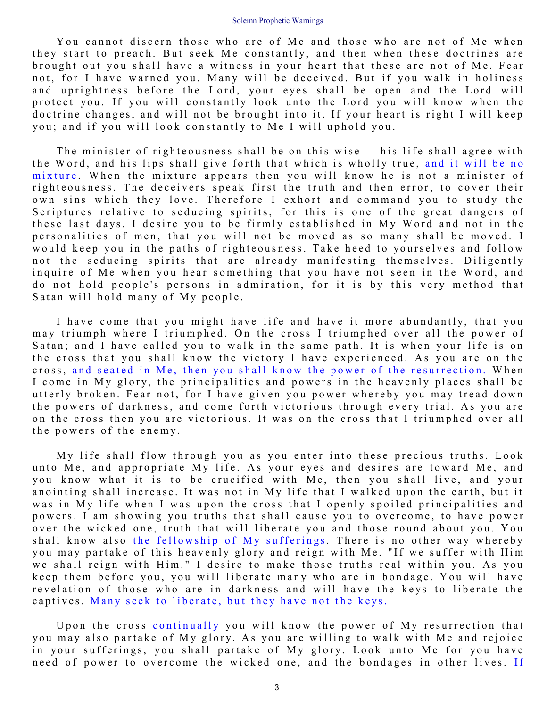## Solemn Prophetic Warnings

You cannot discern those who are of Me and those who are not of Me when they start to preach. But seek Me constantly, and then when these doctrines are brought out you shall have a witness in your heart that these are not of Me. Fear not, for I have warned you. Many will be deceived. But if you walk in holiness and uprightness before the Lord, your eyes shall be open and the Lord will protect you. If you will constantly look unto the Lord you will know when the doctrine changes, and will not be brought into it. If your heart is right I will keep you; and if you will look constantly to Me I will uphold you.

The minister of righteousness shall be on this wise -- his life shall agree with the W ord, and his lips shall give forth that which is wholly true, and it will be no mixture. When the mixture appears then you will know he is not a minister of righteousness. The deceivers speak first the truth and then error, to cover their own sins which they love. Therefore I exhort and command you to study the Scriptures relative to seducing spirits, for this is one of the great dangers of these last days. I desire you to be firmly established in My Word and not in the personalities of men, that you will not be moved as so many shall be moved. I would keep you in the paths of righteousness. Take heed to yourselves and follow not the seducing spirits that are already manifesting themselves. Diligently inquire of Me when you hear something that you have not seen in the Word, and do not hold people's persons in admiration, for it is by this very method that Satan will hold many of My people.

I have come that you might have life and have it more abundantly, that you may triumph where I triumphed. On the cross I triumphed over all the power of Satan; and I have called you to walk in the same path. It is when your life is on the cross that you shall know the victory I have experienced. As you are on the cross, and seated in Me, then you shall know the power of the resurrection. When I come in My glory, the principalities and powers in the heavenly places shall be utterly broken. Fear not, for I have given you power whereby you may tread down the powers of darkness, and come forth victorious through every trial. As you are on the cross then you are victorious. It was on the cross that I triumphed over all the powers of the enemy.

My life shall flow through you as you enter into these precious truths. Look unto Me, and appropriate My life. As your eyes and desires are toward Me, and you know what it is to be crucified with Me, then you shall live, and your anointing shall increase. It was not in My life that I walked upon the earth, but it was in My life when I was upon the cross that I openly spoiled principalities and powers. I am showing you truths that shall cause you to overcome, to have power over the wicked one, truth that will liberate you and those round about you. You shall know also the fellowship of My sufferings. There is no other way whereby you may partake of this heavenly glory and reign with Me. "If we suffer with Him we shall reign with Him." I desire to make those truths real within you. As you keep them before you, you will liberate many who are in bondage. You will have revelation of those who are in darkness and will have the keys to liberate the captives. Many seek to liberate, but they have not the keys.

Upon the cross continually you will know the power of My resurrection that you may also partake of My glory. As you are willing to walk with Me and rejoice in your sufferings, you shall partake of My glory. Look unto Me for you have need of power to overcome the wicked one, and the bondages in other lives. If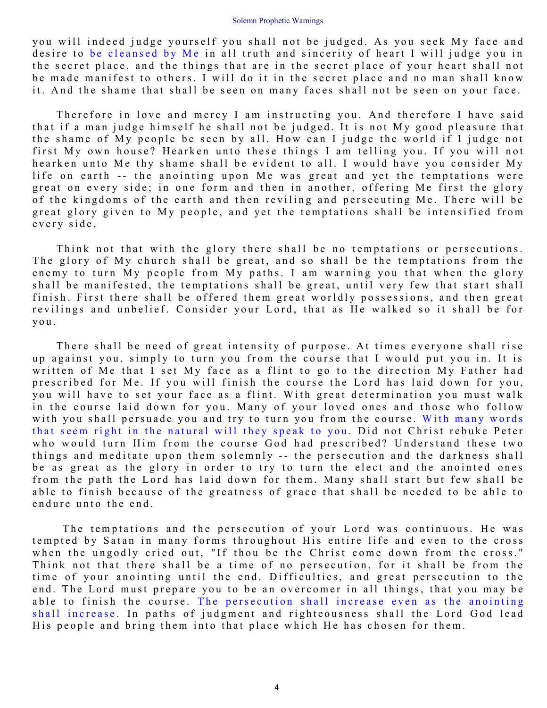## Solemn Prophetic Warnings

you will indeed judge yourself you shall not be judged. As you seek My face and desire to be cleansed by Me in all truth and sincerity of heart I will judge you in the secret place, and the things that are in the secret place of your heart shall not be made manifest to others. I will do it in the secret place and no man shall know it. And the shame that shall be seen on many faces shall not be seen on your face.

Therefore in love and mercy I am instructing you. And therefore I have said that if a man judge himself he shall not be judged. It is not My good pleasure that the shame of My people be seen by all. How can I judge the world if I judge not first My own house? Hearken unto these things I am telling you. If you will not hearken unto Me thy shame shall be evident to all. I would have you consider My life on earth -- the anointing upon Me was great and yet the temptations were great on every side; in one form and then in another, offering Me first the glory of the kingdoms of the earth and then reviling and persecuting Me. There will be great glory given to My people, and yet the temptations shall be intensified from every side.

Think not that with the glory there shall be no temptations or persecutions. The glory of My church shall be great, and so shall be the temptations from the enemy to turn My people from My paths. I am warning you that when the glory shall be manifested, the temptations shall be great, until very few that start shall finish. First there shall be offered them great worldly possessions, and then great revilings and unbelief. Consider your Lord, that as He walked so it shall be for y o u .

There shall be need of great intensity of purpose. At times everyone shall rise up against you, simply to turn you from the course that I would put you in. It is written of Me that I set My face as a flint to go to the direction My Father had prescribed for Me. If you will finish the course the Lord has laid down for you, you will have to set your face as a flint. With great determination you must walk in the course laid down for you. Many of your loved ones and those who follow with you shall persuade you and try to turn you from the course. With many words that seem right in the natural will they speak to you. Did not Christ rebuke Peter who would turn Him from the course God had prescribed? Understand these two things and meditate upon them solemnly -- the persecution and the darkness shall be as great as the glory in order to try to turn the elect and the anointed ones from the path the Lord has laid down for them. Many shall start but few shall be able to finish because of the greatness of grace that shall be needed to be able to endure unto the end.

The temptations and the persecution of your Lord was continuous. He was tempted by Satan in many forms throughout His entire life and even to the cross when the ungodly cried out, "If thou be the Christ come down from the cross." Think not that there shall be a time of no persecution, for it shall be from the time of your anointing until the end. Difficulties, and great persecution to the end. The Lord must prepare you to be an overcomer in all things, that you may be able to finish the course. The persecution shall increase even as the anointing shall increase. In paths of judgment and righteousness shall the Lord God lead His people and bring them into that place which He has chosen for them.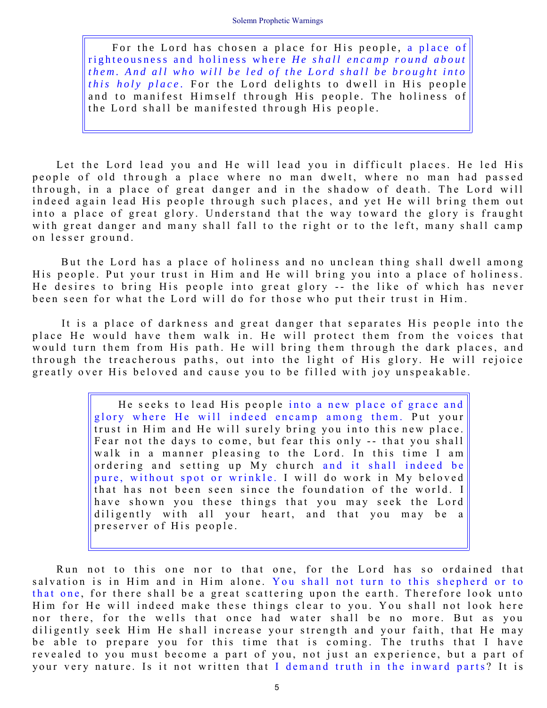For the Lord has chosen a place for His people, a place of righteousness and holiness where *He shall encamp round about* them. And all who will be led of the Lord shall be brought into *this holy place*. For the Lord delights to dwell in His people and to manifest Himself through His people. The holiness of the Lord shall be manifested through His people.

Let the Lord lead you and He will lead you in difficult places. He led His people of old through a place where no man dwelt, where no man had passed through, in a place of great danger and in the shadow of death. The Lord will indeed again lead His people through such places, and yet He will bring them out into a place of great glory. Understand that the way toward the glory is fraught with great danger and many shall fall to the right or to the left, many shall camp on lesser ground.

But the Lord has a place of holiness and no unclean thing shall dwell among His people. Put your trust in Him and He will bring you into a place of holiness. He desires to bring His people into great glory -- the like of which has never been seen for what the Lord will do for those who put their trust in Him.

It is a place of darkness and great danger that separates His people into the place He would have them walk in. He will protect them from the voices that would turn them from His path. He will bring them through the dark places, and through the treacherous paths, out into the light of His glory. He will rejoice greatly over His beloved and cause you to be filled with joy unspeakable.

> He seeks to lead His people into a new place of grace and glory where He will indeed encamp among them. Put your trust in Him and He will surely bring you into this new place. Fear not the days to come, but fear this only -- that you shall walk in a manner pleasing to the Lord. In this time I am ordering and setting up My church and it shall indeed be pure, without spot or wrinkle. I will do work in My beloved that has not been seen since the foundation of the world. I have shown you these things that you may seek the Lord diligently with all your heart, and that you may be a preserver of His people.

Run not to this one nor to that one, for the Lord has so ordained that salvation is in Him and in Him alone. You shall not turn to this shepherd or to that one, for there shall be a great scattering upon the earth. Therefore look unto Him for He will indeed make these things clear to you. You shall not look here nor there, for the wells that once had water shall be no more. But as you diligently seek Him He shall increase your strength and your faith, that He may be able to prepare you for this time that is coming. The truths that I have revealed to you must become a part of you, not just an experience, but a part of your very nature. Is it not written that I demand truth in the inward parts? It is